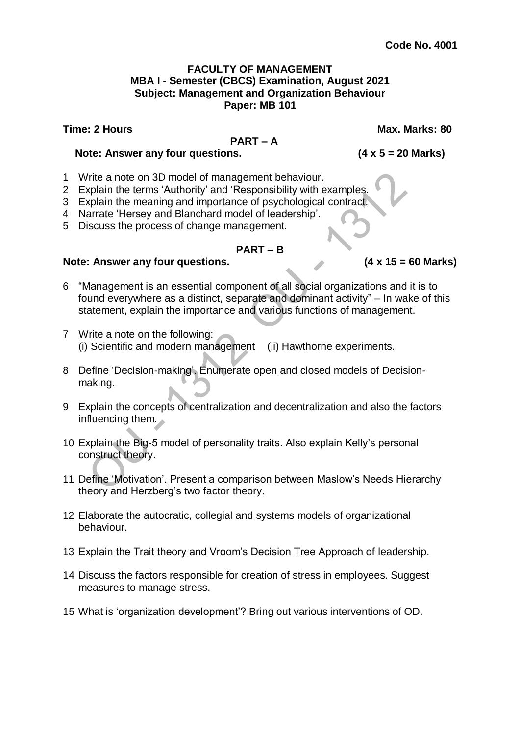#### **FACULTY OF MANAGEMENT MBA I - Semester (CBCS) Examination, August 2021 Subject: Management and Organization Behaviour Paper: MB 101**

**Time: 2 Hours Max. Marks: 80**

#### **PART – A**

#### **Note: Answer any four questions. (4 x 5 = 20 Marks)**

- 1 Write a note on 3D model of management behaviour.
- 2 Explain the terms 'Authority' and 'Responsibility with examples.
- 3 Explain the meaning and importance of psychological contract.
- 4 Narrate 'Hersey and Blanchard model of leadership'.
- 5 Discuss the process of change management.

#### **PART – B**

#### **Note: Answer any four questions. (4 x 15 = 60 Marks)**

- 6 "Management is an essential component of all social organizations and it is to found everywhere as a distinct, separate and dominant activity" – In wake of this statement, explain the importance and various functions of management.
- 7 Write a note on the following: (i) Scientific and modern management (ii) Hawthorne experiments.
- 8 Define 'Decision-making'. Enumerate open and closed models of Decisionmaking.
- 9 Explain the concepts of centralization and decentralization and also the factors influencing them.
- 10 Explain the Big-5 model of personality traits. Also explain Kelly's personal construct theory.
- 11 Define 'Motivation'. Present a comparison between Maslow's Needs Hierarchy theory and Herzberg's two factor theory.
- 12 Elaborate the autocratic, collegial and systems models of organizational behaviour.
- 13 Explain the Trait theory and Vroom's Decision Tree Approach of leadership.
- 14 Discuss the factors responsible for creation of stress in employees. Suggest measures to manage stress.
- 15 What is 'organization development'? Bring out various interventions of OD.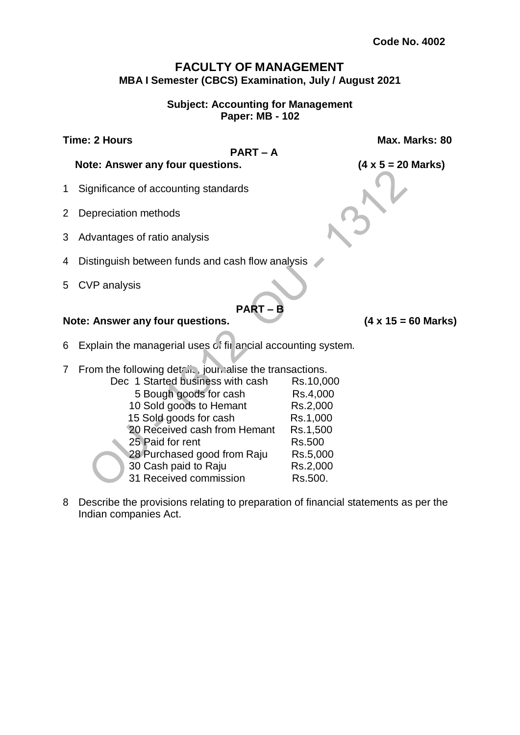# **FACULTY OF MANAGEMENT MBA I Semester (CBCS) Examination, July / August 2021**

#### **Subject: Accounting for Management Paper: MB - 102**

**PART – A**

**Time: 2 Hours Max. Marks: 80**

**Note: Answer any four questions. (4 x 5 = 20 Marks)**

- 1 Significance of accounting standards
- 2 Depreciation methods
- 3 Advantages of ratio analysis
- 4 Distinguish between funds and cash flow analysis
- 5 CVP analysis

# **Note: Answer any four questions. (4 x 15 = 60 Marks)**

- 6 Explain the managerial uses of fir ancial accounting system.
- 7 From the following details, journalise the transactions.
	- Dec 1 Started business with cash Rs.10,000 5 Bough goods for cash Rs.4,000 10 Sold goods to Hemant Rs.2,000 15 Sold goods for cash Rs.1,000 20 Received cash from Hemant Rs.1,500 25 Paid for rent Rs.500 28 Purchased good from Raju Rs.5,000 30 Cash paid to Raju Rs.2,000 31 Received commission Rs.500.
- 8 Describe the provisions relating to preparation of financial statements as per the Indian companies Act.

**PART – B**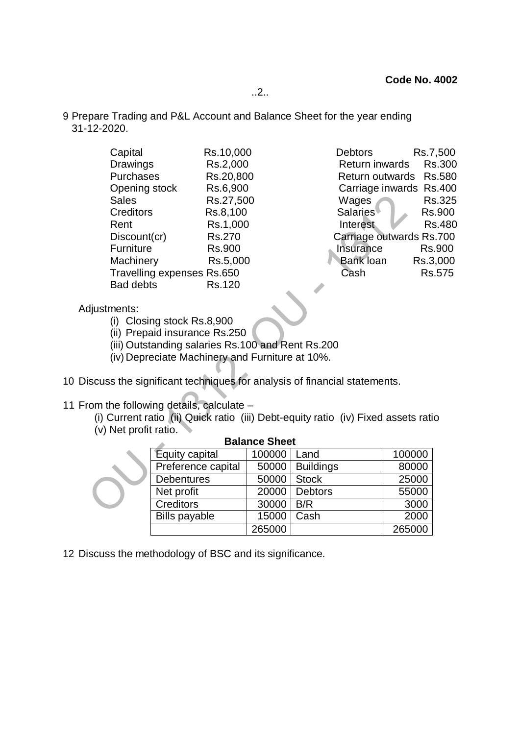..2..

9 Prepare Trading and P&L Account and Balance Sheet for the year ending 31-12-2020.

| Capital                    | Rs.10,000 | Rs.7,500<br><b>Debtors</b>             |
|----------------------------|-----------|----------------------------------------|
| <b>Drawings</b>            | Rs.2,000  | <b>Rs.300</b><br><b>Return inwards</b> |
| Purchases                  | Rs.20,800 | Return outwards Rs.580                 |
| Opening stock              | Rs.6,900  | Carriage inwards Rs.400                |
| <b>Sales</b>               | Rs.27,500 | Rs.325<br>Wages                        |
| <b>Creditors</b>           | Rs.8,100  | <b>Salaries</b><br><b>Rs.900</b>       |
| Rent                       | Rs.1,000  | <b>Rs.480</b><br>Interest              |
| Discount(cr)               | Rs.270    | Carriage outwards Rs.700               |
| Furniture                  | Rs.900    | Insurance<br><b>Rs.900</b>             |
| Machinery                  | Rs.5,000  | <b>Bank loan</b><br>Rs.3,000           |
| Travelling expenses Rs.650 |           | Rs.575<br>Cash                         |
| <b>Bad debts</b>           | Rs.120    |                                        |
|                            |           |                                        |

- Adjustments:
	- (i) Closing stock Rs.8,900
	- (ii) Prepaid insurance Rs.250
	- (iii) Outstanding salaries Rs.100 and Rent Rs.200
	- (iv) Depreciate Machinery and Furniture at 10%.
- 10 Discuss the significant techniques for analysis of financial statements.
- 11 From the following details, calculate
	- (i) Current ratio (ii) Quick ratio (iii) Debt-equity ratio (iv) Fixed assets ratio (v) Net profit ratio.

| Buiunoc Oncel        |        |                  |        |  |
|----------------------|--------|------------------|--------|--|
| Equity capital       | 100000 | Land             | 100000 |  |
| Preference capital   | 50000  | <b>Buildings</b> | 80000  |  |
| <b>Debentures</b>    | 50000  | <b>Stock</b>     | 25000  |  |
| Net profit           | 20000  | <b>Debtors</b>   | 55000  |  |
| <b>Creditors</b>     | 30000  | B/R              | 3000   |  |
| <b>Bills payable</b> | 15000  | Cash             | 2000   |  |
|                      | 265000 |                  | 265000 |  |

**Balance Sheet**

12 Discuss the methodology of BSC and its significance.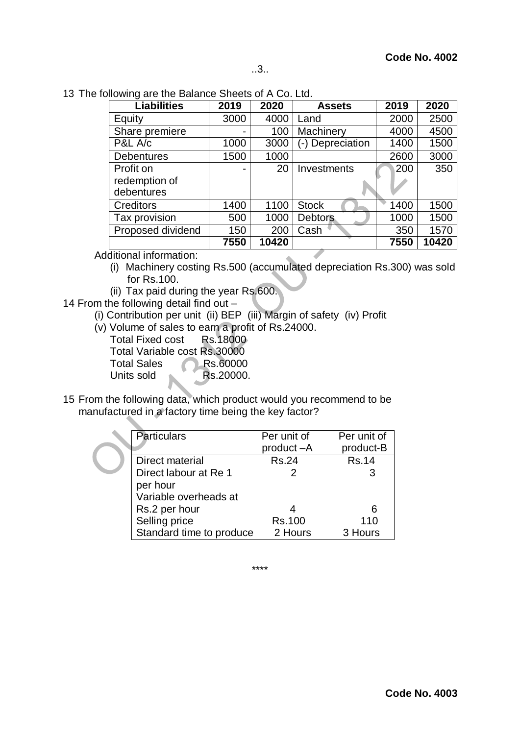13 The following are the Balance Sheets of A Co. Ltd.

| <b>Liabilities</b> | 2019 | 2020  | <b>Assets</b>    | 2019 | 2020  |
|--------------------|------|-------|------------------|------|-------|
| Equity             | 3000 | 4000  | Land             | 2000 | 2500  |
| Share premiere     |      | 100   | Machinery        | 4000 | 4500  |
| P&L A/c            | 1000 | 3000  | (-) Depreciation | 1400 | 1500  |
| <b>Debentures</b>  | 1500 | 1000  |                  | 2600 | 3000  |
| Profit on          |      | 20    | Investments      | 200  | 350   |
| redemption of      |      |       |                  |      |       |
| debentures         |      |       |                  |      |       |
| <b>Creditors</b>   | 1400 | 1100  | <b>Stock</b>     | 1400 | 1500  |
| Tax provision      | 500  | 1000  | <b>Debtors</b>   | 1000 | 1500  |
| Proposed dividend  | 150  | 200   | Cash             | 350  | 1570  |
|                    | 7550 | 10420 |                  | 7550 | 10420 |

Additional information:

- (i) Machinery costing Rs.500 (accumulated depreciation Rs.300) was sold for Rs.100.
- (ii) Tax paid during the year Rs.600.
- 14 From the following detail find out
	- (i) Contribution per unit (ii) BEP (iii) Margin of safety (iv) Profit
	- (v) Volume of sales to earn a profit of Rs.24000.
		- Total Fixed cost Rs.18000 Total Variable cost Rs.30000 Total Sales Rs.60000 Units sold Rs.20000.
- 15 From the following data, which product would you recommend to be manufactured in a factory time being the key factor?

| <b>Particulars</b>       | Per unit of  | Per unit of  |
|--------------------------|--------------|--------------|
|                          | product-A    | product-B    |
| Direct material          | <b>Rs.24</b> | <b>Rs.14</b> |
| Direct labour at Re 1    |              |              |
| per hour                 |              |              |
| Variable overheads at    |              |              |
| Rs.2 per hour            |              |              |
| Selling price            | Rs.100       | 110          |
| Standard time to produce | 2 Hours      | 3 Hours      |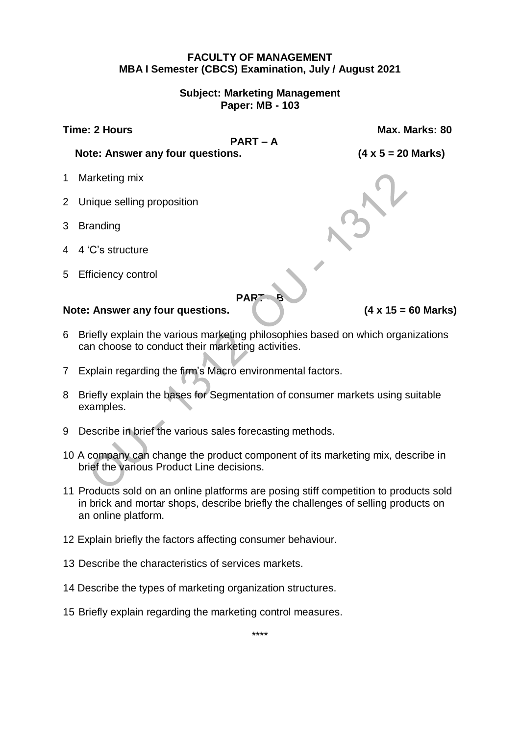#### **FACULTY OF MANAGEMENT MBA I Semester (CBCS) Examination, July / August 2021**

#### **Subject: Marketing Management Paper: MB - 103**

**PART – A**

**Time: 2 Hours Max. Marks: 80**

**Note: Answer any four questions. (4 x 5 = 20 Marks)**

- 1 Marketing mix
- 2 Unique selling proposition
- 3 Branding
- 4 4 'C's structure
- 5 Efficiency control

# **PAR**

**Note: Answer any four questions. (4 x 15 = 60 Marks)**

- 6 Briefly explain the various marketing philosophies based on which organizations can choose to conduct their marketing activities.
- 7 Explain regarding the firm's Macro environmental factors.
- 8 Briefly explain the bases for Segmentation of consumer markets using suitable examples.
- 9 Describe in brief the various sales forecasting methods.
- 10 A company can change the product component of its marketing mix, describe in brief the various Product Line decisions.
- 11 Products sold on an online platforms are posing stiff competition to products sold in brick and mortar shops, describe briefly the challenges of selling products on an online platform.
- 12 Explain briefly the factors affecting consumer behaviour.
- 13 Describe the characteristics of services markets.
- 14 Describe the types of marketing organization structures.
- 15 Briefly explain regarding the marketing control measures.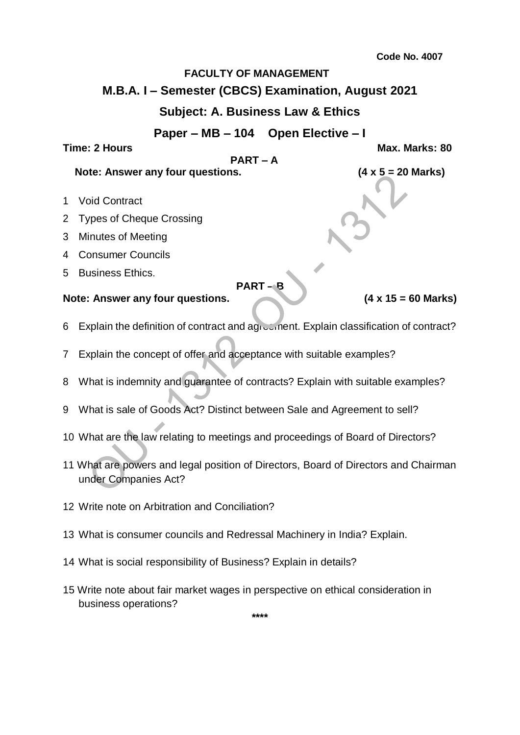# **FACULTY OF MANAGEMENT**

# **M.B.A. I – Semester (CBCS) Examination, August 2021**

# **Subject: A. Business Law & Ethics**

**Paper – MB – 104 Open Elective – I**

#### **Time: 2 Hours Max. Marks: 80**

#### **PART – A**

# **Note: Answer any four questions. (4 x 5 = 20 Marks)**

- 1 Void Contract
- 2 Types of Cheque Crossing
- 3 Minutes of Meeting
- 4 Consumer Councils
- 5 Business Ethics.

**PART – B**

#### **Note: Answer any four questions. (4 x 15 = 60 Marks)**

- 6 Explain the definition of contract and agreement. Explain classification of contract?
- 7 Explain the concept of offer and acceptance with suitable examples?
- 8 What is indemnity and guarantee of contracts? Explain with suitable examples?
- 9 What is sale of Goods Act? Distinct between Sale and Agreement to sell?
- 10 What are the law relating to meetings and proceedings of Board of Directors?
- 11 What are powers and legal position of Directors, Board of Directors and Chairman under Companies Act?
- 12 Write note on Arbitration and Conciliation?
- 13 What is consumer councils and Redressal Machinery in India? Explain.
- 14 What is social responsibility of Business? Explain in details?
- 15 Write note about fair market wages in perspective on ethical consideration in business operations?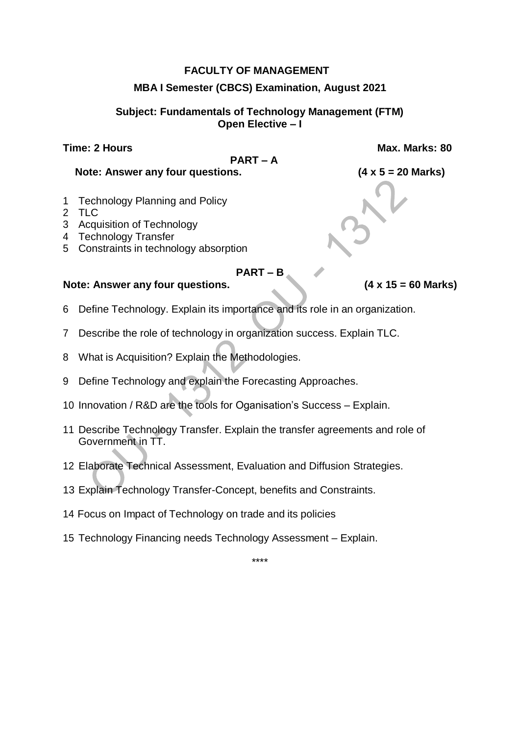#### **FACULTY OF MANAGEMENT**

#### **MBA I Semester (CBCS) Examination, August 2021**

#### **Subject: Fundamentals of Technology Management (FTM) Open Elective – I**

## **Time: 2 Hours Max. Marks: 80**

#### **PART – A**

**Note: Answer any four questions. (4 x 5 = 20 Marks)**

- 1 Technology Planning and Policy
- 2 TLC
- 3 Acquisition of Technology
- 4 Technology Transfer
- 5 Constraints in technology absorption

#### **PART – B**

#### **Note: Answer any four questions. (4 x 15 = 60 Marks)**

- 6 Define Technology. Explain its importance and its role in an organization.
- 7 Describe the role of technology in organization success. Explain TLC.
- 8 What is Acquisition? Explain the Methodologies.
- 9 Define Technology and explain the Forecasting Approaches.
- 10 Innovation / R&D are the tools for Oganisation's Success Explain.
- 11 Describe Technology Transfer. Explain the transfer agreements and role of Government in TT.
- 12 Elaborate Technical Assessment, Evaluation and Diffusion Strategies.
- 13 Explain Technology Transfer-Concept, benefits and Constraints.
- 14 Focus on Impact of Technology on trade and its policies
- 15 Technology Financing needs Technology Assessment Explain.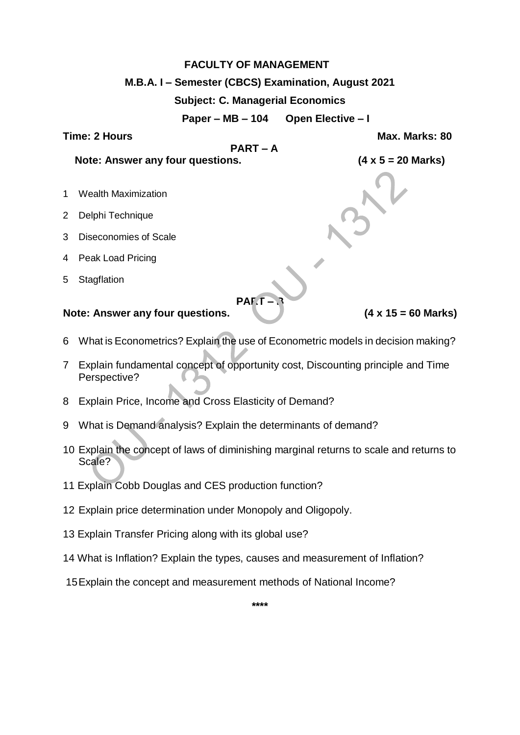# **FACULTY OF MANAGEMENT M.B.A. I – Semester (CBCS) Examination, August 2021 Subject: C. Managerial Economics Paper – MB – 104 Open Elective – I Time: 2 Hours Max. Marks: 80 PART – A Note: Answer any four questions. (4 x 5 = 20 Marks)** 1 Wealth Maximization 2 Delphi Technique 3 Diseconomies of Scale 4 Peak Load Pricing 5 Stagflation **PAF Note: Answer any four questions. (4 x 15 = 60 Marks)** 6 What is Econometrics? Explain the use of Econometric models in decision making?

- 7 Explain fundamental concept of opportunity cost, Discounting principle and Time Perspective?
- 8 Explain Price, Income and Cross Elasticity of Demand?
- 9 What is Demand analysis? Explain the determinants of demand?
- 10 Explain the concept of laws of diminishing marginal returns to scale and returns to Scale?
- 11 Explain Cobb Douglas and CES production function?
- 12 Explain price determination under Monopoly and Oligopoly.
- 13 Explain Transfer Pricing along with its global use?
- 14 What is Inflation? Explain the types, causes and measurement of Inflation?

15Explain the concept and measurement methods of National Income?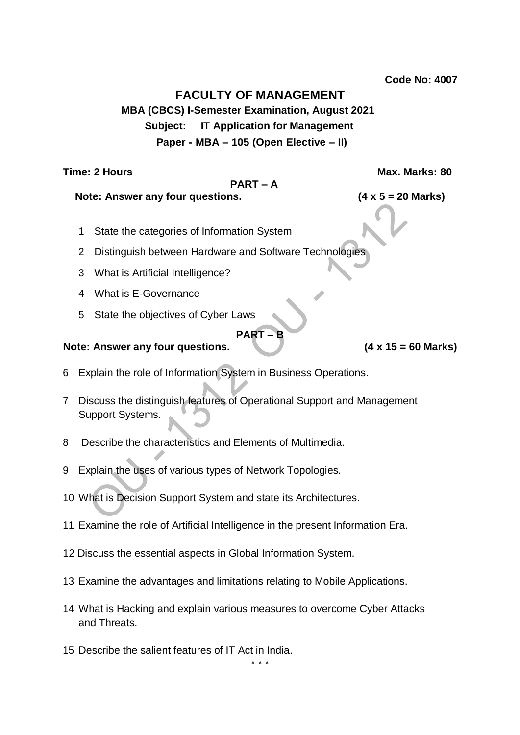**Code No: 4007**

# **FACULTY OF MANAGEMENT**

**MBA (CBCS) I-Semester Examination, August 2021 Subject: IT Application for Management Paper - MBA – 105 (Open Elective – II)**

**Time: 2 Hours Max. Marks: 80**

# **PART – A**

**Note: Answer any four questions. (4 x 5 = 20 Marks)**

- 1 State the categories of Information System
- 2 Distinguish between Hardware and Software Technologies
- 3 What is Artificial Intelligence?
- 4 What is E-Governance
- 5 State the objectives of Cyber Laws

# **Note: Answer any four questions. (4 x 15 = 60 Marks)**

- 6 Explain the role of Information System in Business Operations.
- 7 Discuss the distinguish features of Operational Support and Management Support Systems.

**PART** –

- 8 Describe the characteristics and Elements of Multimedia.
- 9 Explain the uses of various types of Network Topologies.
- 10 What is Decision Support System and state its Architectures.
- 11 Examine the role of Artificial Intelligence in the present Information Era.
- 12 Discuss the essential aspects in Global Information System.
- 13 Examine the advantages and limitations relating to Mobile Applications.
- 14 What is Hacking and explain various measures to overcome Cyber Attacks and Threats.
- 15 Describe the salient features of IT Act in India.

\* \* \*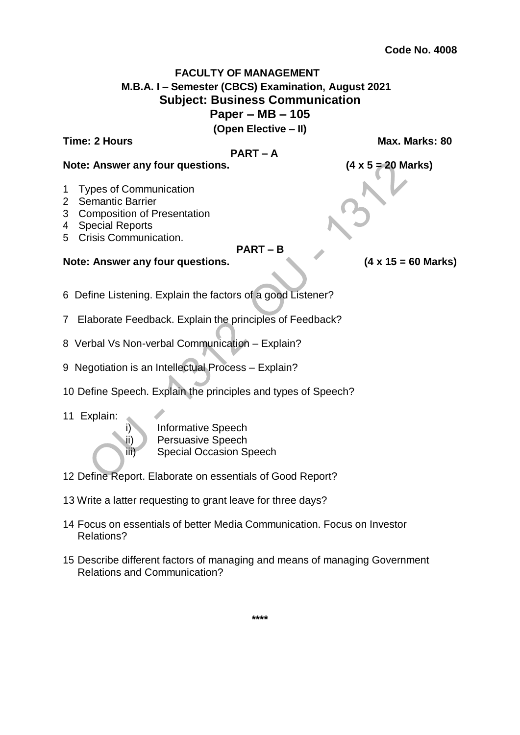# **FACULTY OF MANAGEMENT M.B.A. I – Semester (CBCS) Examination, August 2021 Subject: Business Communication Paper – MB – 105 (Open Elective – II)**

## **Time: 2 Hours Max. Marks: 80**

#### **PART – A**

#### **Note: Answer any four questions. (4 x 5 = 20 Marks)**

- 1 Types of Communication
- 2 Semantic Barrier
- 3 Composition of Presentation
- 4 Special Reports
- 5 Crisis Communication.

#### **PART – B**

#### **Note: Answer any four questions. (4 x 15 = 60 Marks)**

- 6 Define Listening. Explain the factors of a good Listener?
- 7 Elaborate Feedback. Explain the principles of Feedback?
- 8 Verbal Vs Non-verbal Communication Explain?
- 9 Negotiation is an Intellectual Process Explain?
- 10 Define Speech. Explain the principles and types of Speech?
- 11 Explain:

i) Informative Speech ii) Persuasive Speech iii) Special Occasion Speech

- 12 Define Report. Elaborate on essentials of Good Report?
- 13 Write a latter requesting to grant leave for three days?
- 14 Focus on essentials of better Media Communication. Focus on Investor Relations?
- 15 Describe different factors of managing and means of managing Government Relations and Communication?